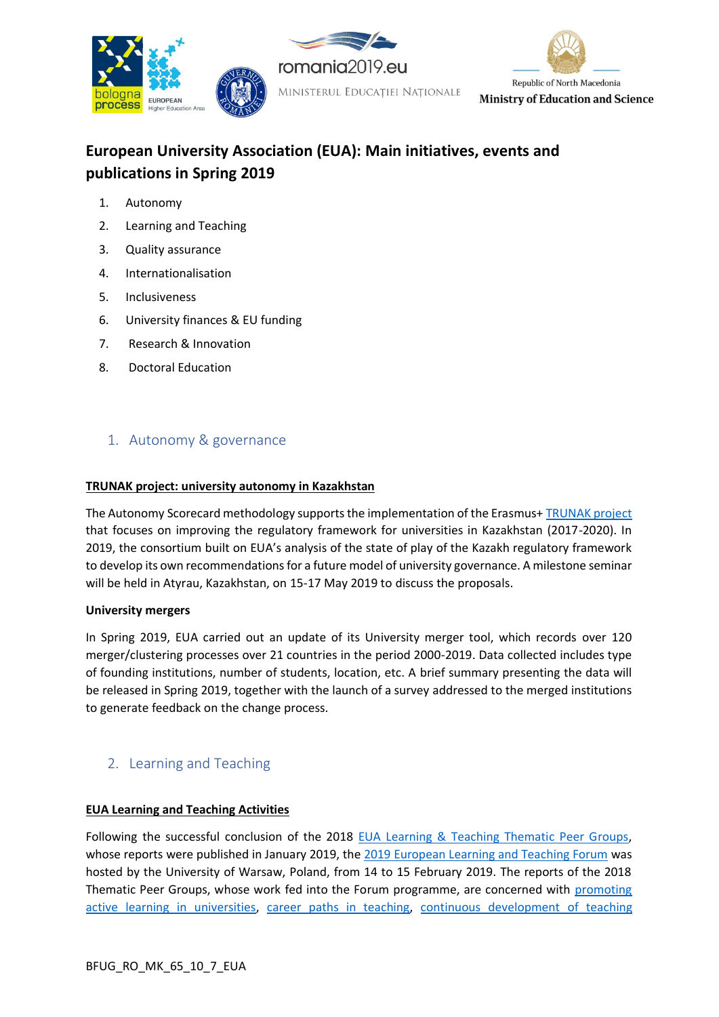

# **European University Association (EUA): Main initiatives, events and publications in Spring 2019**

- 1. [Autonomy](#page-0-0)
- 2. [Learning and Teaching](#page-0-1)
- 3. [Quality assurance](#page-1-0)
- 4. [Internationalisation](#page-2-0)
- 5. [Inclusiveness](#page-3-0)
- 6. [University finances & EU funding](#page-4-0)
- 7. [Research & Innovation](#page-6-0)
- [8. Doctoral Education](#page-9-0)

## <span id="page-0-0"></span>1. Autonomy & governance

### **TRUNAK project: university autonomy in Kazakhstan**

The Autonomy Scorecard methodology supports the implementation of the Erasmus+ [TRUNAK project](https://eua.eu/101-projects/534-trunak.html) that focuses on improving the regulatory framework for universities in Kazakhstan (2017-2020). In 2019, the consortium built on EUA's analysis of the state of play of the Kazakh regulatory framework to develop its own recommendations for a future model of university governance. A milestone seminar will be held in Atyrau, Kazakhstan, on 15-17 May 2019 to discuss the proposals.

#### **University mergers**

In Spring 2019, EUA carried out an update of its University merger tool, which records over 120 merger/clustering processes over 21 countries in the period 2000-2019. Data collected includes type of founding institutions, number of students, location, etc. A brief summary presenting the data will be released in Spring 2019, together with the launch of a survey addressed to the merged institutions to generate feedback on the change process.

## <span id="page-0-1"></span>2. Learning and Teaching

## **EUA Learning and Teaching Activities**

Following the successful conclusion of the 2018 [EUA Learning & Teaching Thematic Peer Groups,](https://eua.eu/101-projects/540-learning-teaching-thematic-peer-groups.html) whose reports were published in January 2019, the 2019 [European Learning and Teaching Forum](https://eua.eu/events/24-2019-european-learning-teaching-forum.html) was hosted by the University of Warsaw, Poland, from 14 to 15 February 2019. The reports of the 2018 Thematic Peer Groups, whose work fed into the Forum programme, are concerned with [promoting](https://eua.eu/downloads/publications/eua%20tpg%20report%205-%20promoting%20active%20learning%20in%20universities.pdf)  [active learning in universities,](https://eua.eu/downloads/publications/eua%20tpg%20report%205-%20promoting%20active%20learning%20in%20universities.pdf) [career paths in teaching,](https://eua.eu/downloads/publications/eua%20tpg%20report%202%20-%20career%20paths%20in%20teaching.pdf) [continuous development of teaching](https://eua.eu/downloads/publications/eua%20tpg%20report%203%20-%20continuous%20development%20of%20teaching%20competences.pdf)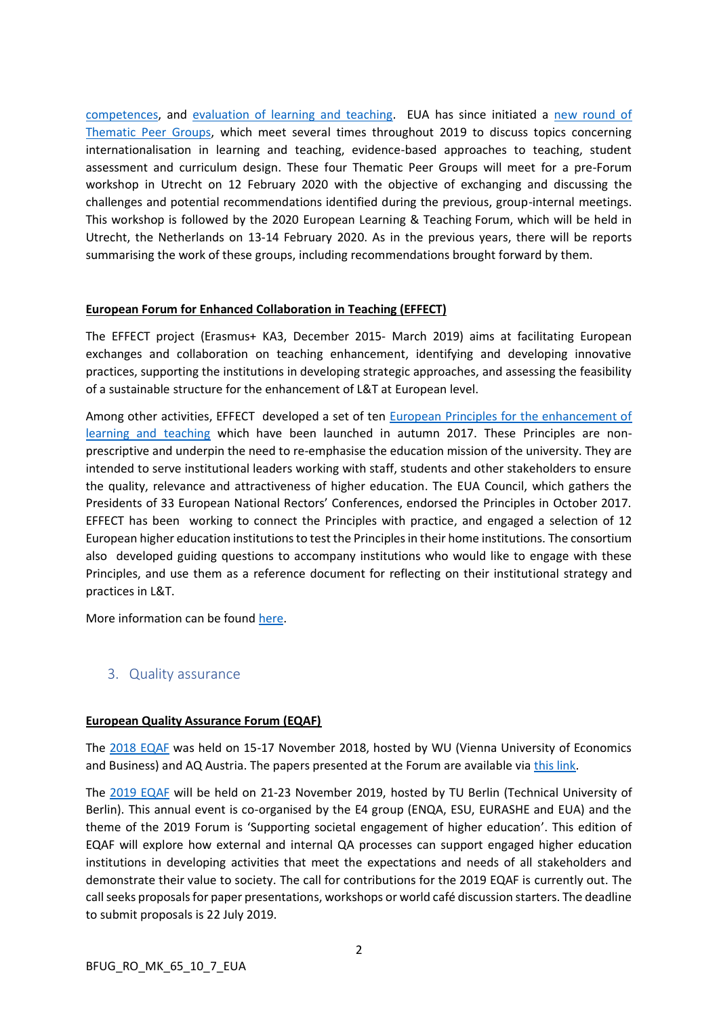[competences,](https://eua.eu/downloads/publications/eua%20tpg%20report%203%20-%20continuous%20development%20of%20teaching%20competences.pdf) and [evaluation of learning and teaching.](https://eua.eu/downloads/publications/eua%20tpg%20report%204%20-%20evaluation%20of%20learning%20and%20teaching.pdf) EUA has since initiated a [new round of](https://eua.eu/component/attachments/attachments.html?task=attachment&id=2025) [Thematic Peer Groups,](https://eua.eu/component/attachments/attachments.html?task=attachment&id=2025) which meet several times throughout 2019 to discuss topics concerning internationalisation in learning and teaching, evidence-based approaches to teaching, student assessment and curriculum design. These four Thematic Peer Groups will meet for a pre-Forum workshop in Utrecht on 12 February 2020 with the objective of exchanging and discussing the challenges and potential recommendations identified during the previous, group-internal meetings. This workshop is followed by the 2020 European Learning & Teaching Forum, which will be held in Utrecht, the Netherlands on 13-14 February 2020. As in the previous years, there will be reports summarising the work of these groups, including recommendations brought forward by them.

### **European Forum for Enhanced Collaboration in Teaching (EFFECT)**

The EFFECT project (Erasmus+ KA3, December 2015- March 2019) aims at facilitating European exchanges and collaboration on teaching enhancement, identifying and developing innovative practices, supporting the institutions in developing strategic approaches, and assessing the feasibility of a sustainable structure for the enhancement of L&T at European level.

Among other activities, EFFECT developed a set of ten [European Principles for the enhancement of](http://www.eua.be/Libraries/default-document-library/web_effect-principles-one-pager16102017.pdf?sfvrsn=2)  [learning and teaching](http://www.eua.be/Libraries/default-document-library/web_effect-principles-one-pager16102017.pdf?sfvrsn=2) which have been launched in autumn 2017. These Principles are nonprescriptive and underpin the need to re-emphasise the education mission of the university. They are intended to serve institutional leaders working with staff, students and other stakeholders to ensure the quality, relevance and attractiveness of higher education. The EUA Council, which gathers the Presidents of 33 European National Rectors' Conferences, endorsed the Principles in October 2017. EFFECT has been working to connect the Principles with practice, and engaged a selection of 12 European higher education institutions to test the Principles in their home institutions. The consortium also developed guiding questions to accompany institutions who would like to engage with these Principles, and use them as a reference document for reflecting on their institutional strategy and practices in L&T.

More information can be found [here.](http://www.eua.be/activities-services/projects/current-projects/higher-education-policy/effect)

## <span id="page-1-0"></span>3. Quality assurance

#### **European Quality Assurance Forum (EQAF)**

The [2018 EQAF](https://eua.eu/events/14-13th-european-quality-assurance-forum.html) was held on 15-17 November 2018, hosted by WU (Vienna University of Economics and Business) and AQ Austria. The papers presented at the Forum are available via [this link.](https://eua.eu/resources/publications.html)

The [2019](https://eua.eu/events/33:2019-european-quality-assurance-forum.html) EQAF will be held on 21-23 November 2019, hosted by TU Berlin (Technical University of Berlin). This annual event is co-organised by the E4 group (ENQA, ESU, EURASHE and EUA) and the theme of the 2019 Forum is 'Supporting societal engagement of higher education'. This edition of EQAF will explore how external and internal QA processes can support engaged higher education institutions in developing activities that meet the expectations and needs of all stakeholders and demonstrate their value to society. The call for contributions for the 2019 EQAF is currently out. The call seeks proposals for paper presentations, workshops or world café discussion starters. The deadline to submit proposals is 22 July 2019.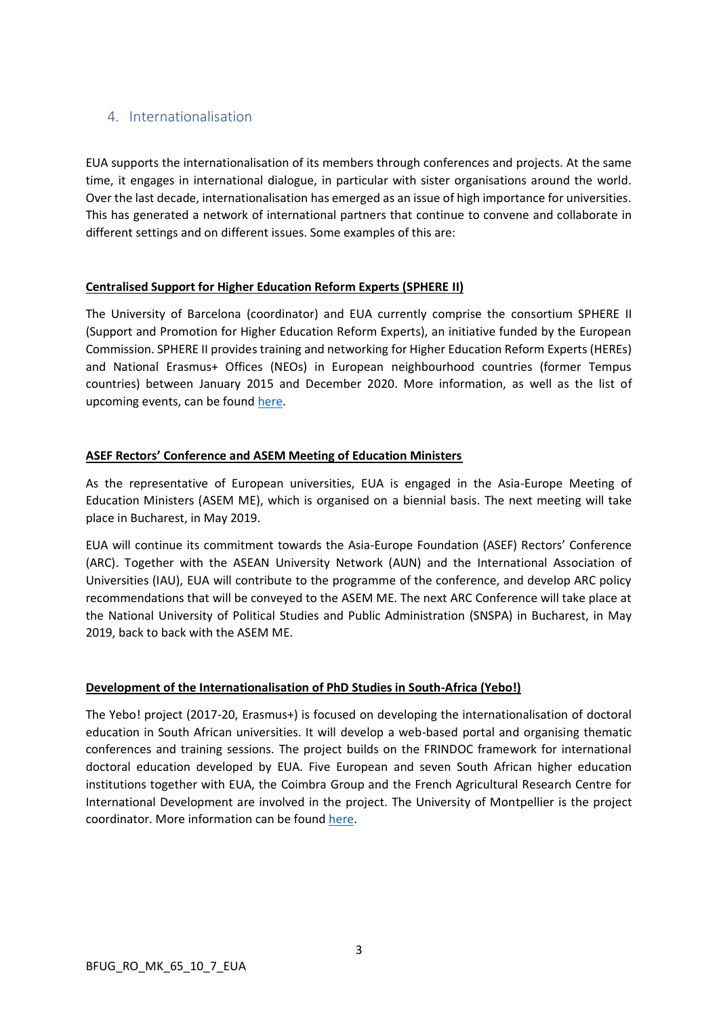## <span id="page-2-0"></span>4. Internationalisation

EUA supports the internationalisation of its members through conferences and projects. At the same time, it engages in international dialogue, in particular with sister organisations around the world. Over the last decade, internationalisation has emerged as an issue of high importance for universities. This has generated a network of international partners that continue to convene and collaborate in different settings and on different issues. Some examples of this are:

## **Centralised Support for Higher Education Reform Experts (SPHERE II)**

The University of Barcelona (coordinator) and EUA currently comprise the consortium SPHERE II (Support and Promotion for Higher Education Reform Experts), an initiative funded by the European Commission. SPHERE II provides training and networking for Higher Education Reform Experts (HEREs) and National Erasmus+ Offices (NEOs) in European neighbourhood countries (former Tempus countries) between January 2015 and December 2020. More information, as well as the list of upcoming events, can be found [here.](http://supporthere.org/)

## **ASEF Rectors' Conference and ASEM Meeting of Education Ministers**

As the representative of European universities, EUA is engaged in the Asia-Europe Meeting of Education Ministers (ASEM ME), which is organised on a biennial basis. The next meeting will take place in Bucharest, in May 2019.

EUA will continue its commitment towards the Asia-Europe Foundation (ASEF) Rectors' Conference (ARC). Together with the ASEAN University Network (AUN) and the International Association of Universities (IAU), EUA will contribute to the programme of the conference, and develop ARC policy recommendations that will be conveyed to the ASEM ME. The next ARC Conference will take place at the National University of Political Studies and Public Administration (SNSPA) in Bucharest, in May 2019, back to back with the ASEM ME.

## **Development of the Internationalisation of PhD Studies in South-Africa (Yebo!)**

The Yebo! project (2017-20, Erasmus+) is focused on developing the internationalisation of doctoral education in South African universities. It will develop a web-based portal and organising thematic conferences and training sessions. The project builds on the FRINDOC framework for international doctoral education developed by EUA. Five European and seven South African higher education institutions together with EUA, the Coimbra Group and the French Agricultural Research Centre for International Development are involved in the project. The University of Montpellier is the project coordinator. More information can be found [here.](http://yebo.edu.umontpellier.fr/)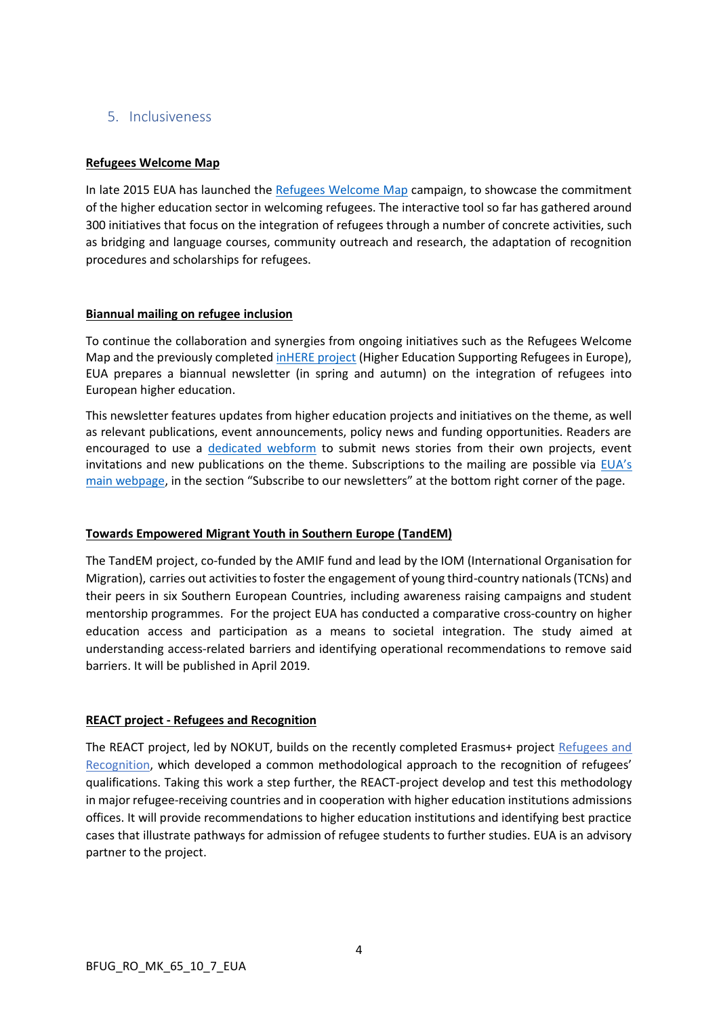## <span id="page-3-0"></span>5. Inclusiveness

## **Refugees Welcome Map**

In late 2015 EUA has launched the [Refugees Welcome](http://refugeeswelcomemap.eua.be/map) Map campaign, to showcase the commitment of the higher education sector in welcoming refugees. The interactive tool so far has gathered around 300 initiatives that focus on the integration of refugees through a number of concrete activities, such as bridging and language courses, community outreach and research, the adaptation of recognition procedures and scholarships for refugees.

## **Biannual mailing on refugee inclusion**

To continue the collaboration and synergies from ongoing initiatives such as the Refugees Welcome Map and the previously completed *inHERE project* (Higher Education Supporting Refugees in Europe), EUA prepares a biannual newsletter (in spring and autumn) on the integration of refugees into European higher education.

This newsletter features updates from higher education projects and initiatives on the theme, as well as relevant publications, event announcements, policy news and funding opportunities. Readers are encouraged to use a [dedicated webform](https://docs.google.com/forms/d/e/1FAIpQLSeAr6qTJTbDuKOkiHgTlkrKlP7slBcPyncakFG6rXidtAb3Jw/viewform?usp=sf_link) to submit news stories from their own projects, event invitations and new publications on the theme. Subscriptions to the mailing are possible via  $EUA's$ [main webpage](http://www.eua.eu/), in the section "Subscribe to our newsletters" at the bottom right corner of the page.

## **Towards Empowered Migrant Youth in Southern Europe (TandEM)**

The TandEM project, co-funded by the AMIF fund and lead by the IOM (International Organisation for Migration), carries out activities to foster the engagement of young third-country nationals (TCNs) and their peers in six Southern European Countries, including awareness raising campaigns and student mentorship programmes. For the project EUA has conducted a comparative cross-country on higher education access and participation as a means to societal integration. The study aimed at understanding access-related barriers and identifying operational recommendations to remove said barriers. It will be published in April 2019.

## **REACT project - Refugees and Recognition**

The REACT project, led by NOKUT, builds on the recently completed [Erasmus+ project Refugees and](https://www.nokut.no/en/about-nokut/international-cooperation/erasmus-projects/refugees-and-recognition/)  [Recognition](https://www.nokut.no/en/about-nokut/international-cooperation/erasmus-projects/refugees-and-recognition/), which developed a common methodological approach to the recognition of refugees' qualifications. Taking this work a step further, the REACT-project develop and test this methodology in major refugee-receiving countries and in cooperation with higher education institutions admissions offices. It will provide recommendations to higher education institutions and identifying best practice cases that illustrate pathways for admission of refugee students to further studies. EUA is an advisory partner to the project.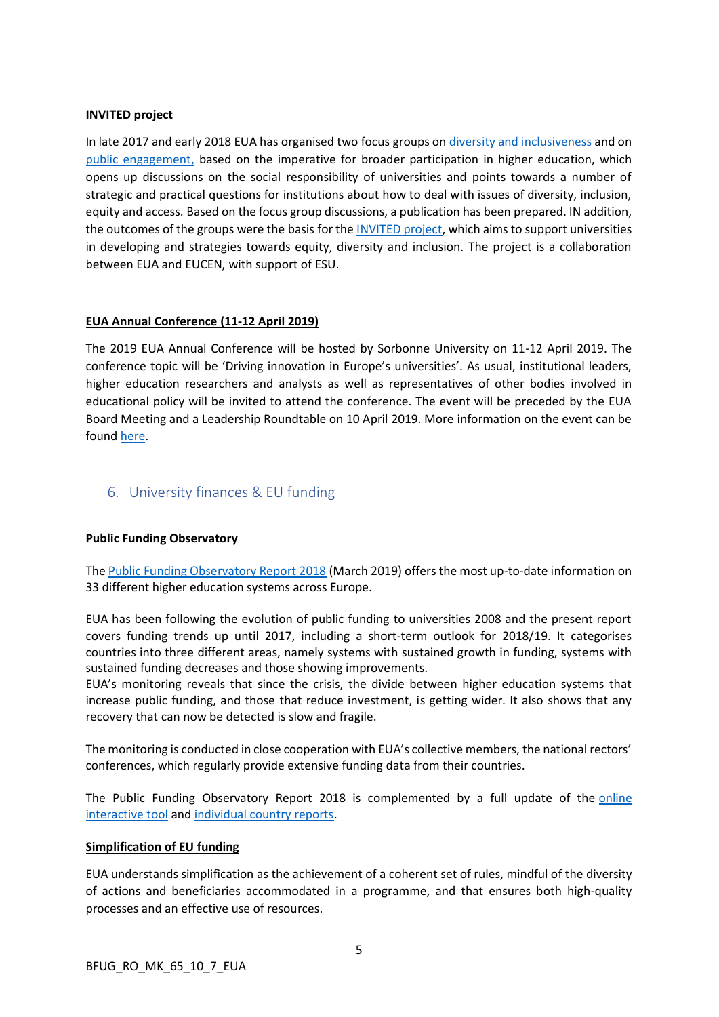### **INVITED project**

In late 2017 and early 2018 EUA has organised two focus groups on [diversity and inclusiveness](https://eua.eu/events/57:eua-focus-group-universities%E2%80%99-strategies-and-practices-towards-diversity-and-inclusiveness.html) and on [public engagement,](https://eua.eu/news/69:eua-focus-group-on-universities-and-public-engagement.html) based on the imperative for broader participation in higher education, which opens up discussions on the social responsibility of universities and points towards a number of strategic and practical questions for institutions about how to deal with issues of diversity, inclusion, equity and access. Based on the focus group discussions, a publication has been prepared. IN addition, the outcomes of the groups were the basis for the **INVITED** project, which aims to support universities in developing and strategies towards equity, diversity and inclusion. The project is a collaboration between EUA and EUCEN, with support of ESU.

### **EUA Annual Conference (11-12 April 2019)**

The 2019 EUA Annual Conference will be hosted by Sorbonne University on 11-12 April 2019. The conference topic will be 'Driving innovation in Europe's universities'. As usual, institutional leaders, higher education researchers and analysts as well as representatives of other bodies involved in educational policy will be invited to attend the conference. The event will be preceded by the EUA Board Meeting and a Leadership Roundtable on 10 April 2019. More information on the event can be found [here.](https://eua.eu/events/31-2019-eua-annual-conference.html)

## <span id="page-4-0"></span>6. University finances & EU funding

#### **Public Funding Observatory**

The [Public Funding Observatory Report 2018](https://www.eua.eu/resources/publications/823:eua-public-funding-observatory-report-2018.html) (March 2019) offers the most up-to-date information on 33 different higher education systems across Europe.

EUA has been following the evolution of public funding to universities 2008 and the present report covers funding trends up until 2017, including a short-term outlook for 2018/19. It categorises countries into three different areas, namely systems with sustained growth in funding, systems with sustained funding decreases and those showing improvements.

EUA's monitoring reveals that since the crisis, the divide between higher education systems that increase public funding, and those that reduce investment, is getting wider. It also shows that any recovery that can now be detected is slow and fragile.

The monitoring is conducted in close cooperation with EUA's collective members, the national rectors' conferences, which regularly provide extensive funding data from their countries.

The Public Funding Observatory Report 2018 is complemented by a full update of the [online](http://efficiency.eua.eu/public-funding-observatory)  [interactive tool](http://efficiency.eua.eu/public-funding-observatory) and [individual country reports.](https://www.eua.eu/resources/publications/824:eua-public-funding-observatory-2018-country-sheets.html)

#### **Simplification of EU funding**

EUA understands simplification as the achievement of a coherent set of rules, mindful of the diversity of actions and beneficiaries accommodated in a programme, and that ensures both high-quality processes and an effective use of resources.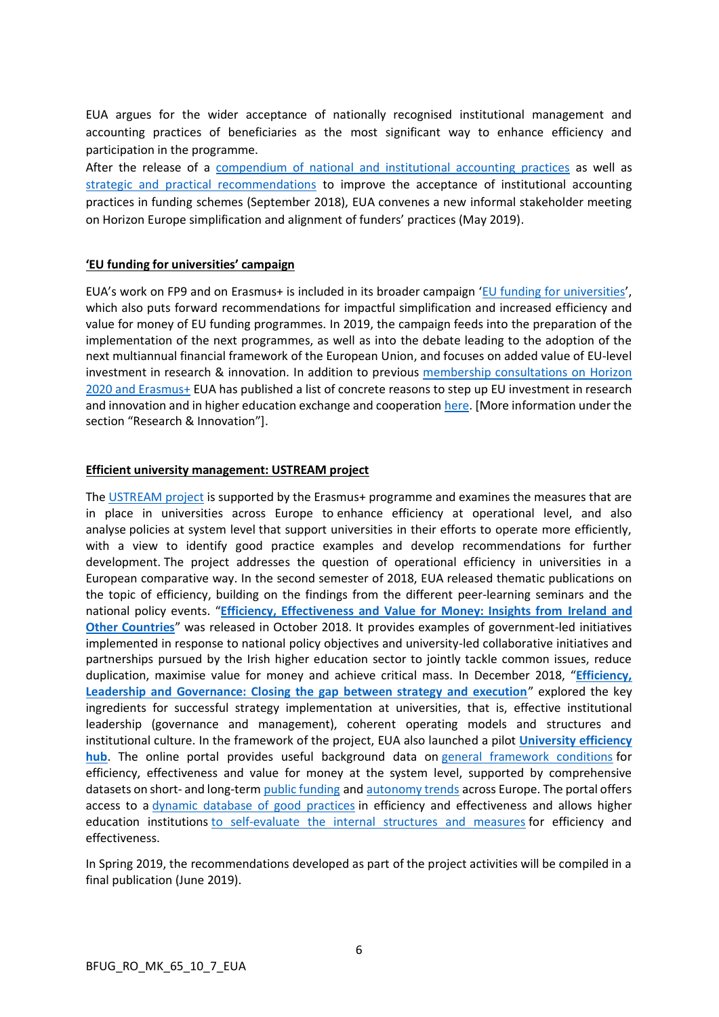EUA argues for the wider acceptance of nationally recognised institutional management and accounting practices of beneficiaries as the most significant way to enhance efficiency and participation in the programme.

After the release of a [compendium of national and institutional accounting practices](https://www.eua.eu/resources/publications/750:accepting-university-accounting-practices-under-horizon-europe-a-compendium-of-national-and-institutional-cases.html) as well as [strategic and practical recommendations](https://www.eua.eu/resources/publications/751:accepting-university-accounting-practices-under-horizon-europe-strategic-and-practical-recommendations.html) to improve the acceptance of institutional accounting practices in funding schemes (September 2018), EUA convenes a new informal stakeholder meeting on Horizon Europe simplification and alignment of funders' practices (May 2019).

#### **'EU funding for universities' campaign**

EUA's work on FP9 and on Erasmus+ is included in its broader campaign '[EU funding for universities](http://www.eua.be/activities-services/eua-campaigns/eu-funding-for-universities)', which also puts forward recommendations for impactful simplification and increased efficiency and value for money of EU funding programmes. In 2019, the campaign feeds into the preparation of the implementation of the next programmes, as well as into the debate leading to the adoption of the next multiannual financial framework of the European Union, and focuses on added value of EU-level investment in research & innovation. In addition to previous [membership consultations on](https://ec.europa.eu/programmes/erasmus-plus/sites/erasmusplus2/files/position_papers/Position%20paper_EUA.pdf) Horizon [2020 and Erasmus+](https://ec.europa.eu/programmes/erasmus-plus/sites/erasmusplus2/files/position_papers/Position%20paper_EUA.pdf) EUA has published a list of concrete reasons to step up EU investment in research and innovation and in higher education exchange and cooperation [here.](http://www.eua.be/activities-services/eua-campaigns/eu-funding-for-universities) [More information under the section "Research & Innovation"].

#### **Efficient university management: USTREAM project**

The [USTREAM project](http://www.eua.be/activities-services/projects/current-projects/governance-funding-public-policy/ustream) is supported by the Erasmus+ programme and examines the measures that are in place in universities across Europe to enhance efficiency at operational level, and also analyse policies at system level that support universities in their efforts to operate more efficiently, with a view to identify good practice examples and develop recommendations for further development. The project addresses the question of operational efficiency in universities in a European comparative way. In the second semester of 2018, EUA released thematic publications on the topic of efficiency, building on the findings from the different peer-learning seminars and the national policy events. "**[Efficiency, Effectiveness and Value for Money: Insights from](https://www.eua.eu/resources/publications/756:efficiency,-effectiveness-and-value-for-money-insights-from-ireland-and-other-countries.html) Ireland and [Other Countries](https://www.eua.eu/resources/publications/756:efficiency,-effectiveness-and-value-for-money-insights-from-ireland-and-other-countries.html)**" was released in October 2018. It provides examples of government-led initiatives implemented in response to national policy objectives and university-led collaborative initiatives and partnerships pursued by the Irish higher education sector to jointly tackle common issues, reduce duplication, maximise value for money and achieve critical mass. In December 2018, "**[Efficiency,](https://www.eua.eu/resources/publications/800:efficiency,-leadership-and-governance-closing-the-gap-between-strategy-and-execution.html)  [Leadership and Governance: Closing the gap between strategy and execution](https://www.eua.eu/resources/publications/800:efficiency,-leadership-and-governance-closing-the-gap-between-strategy-and-execution.html)**" explored the key ingredients for successful strategy implementation at universities, that is, effective institutional leadership (governance and management), coherent operating models and structures and institutional culture. In the framework of the project, EUA also launched a pilot **[University efficiency](/Users/rocio/Desktop/efficiency.eua.eu)  [hub](/Users/rocio/Desktop/efficiency.eua.eu)**. The online portal provides useful background data on [general framework conditions](http://efficiency.eua.eu/efficiency-frameworks) for efficiency, effectiveness and value for money at the system level, supported by comprehensive datasets on short- and long-term [public funding](http://efficiency.eua.eu/public-funding-observatory) and [autonomy trends](https://www.university-autonomy.eu/) across Europe. The portal offers access to a [dynamic database of good practices](http://efficiency.eua.eu/good-practices) in efficiency and effectiveness and allows higher education institutions [to self-evaluate the internal structures and measures](http://efficiency.eua.eu/evaluate) for efficiency and effectiveness.

In Spring 2019, the recommendations developed as part of the project activities will be compiled in a final publication (June 2019).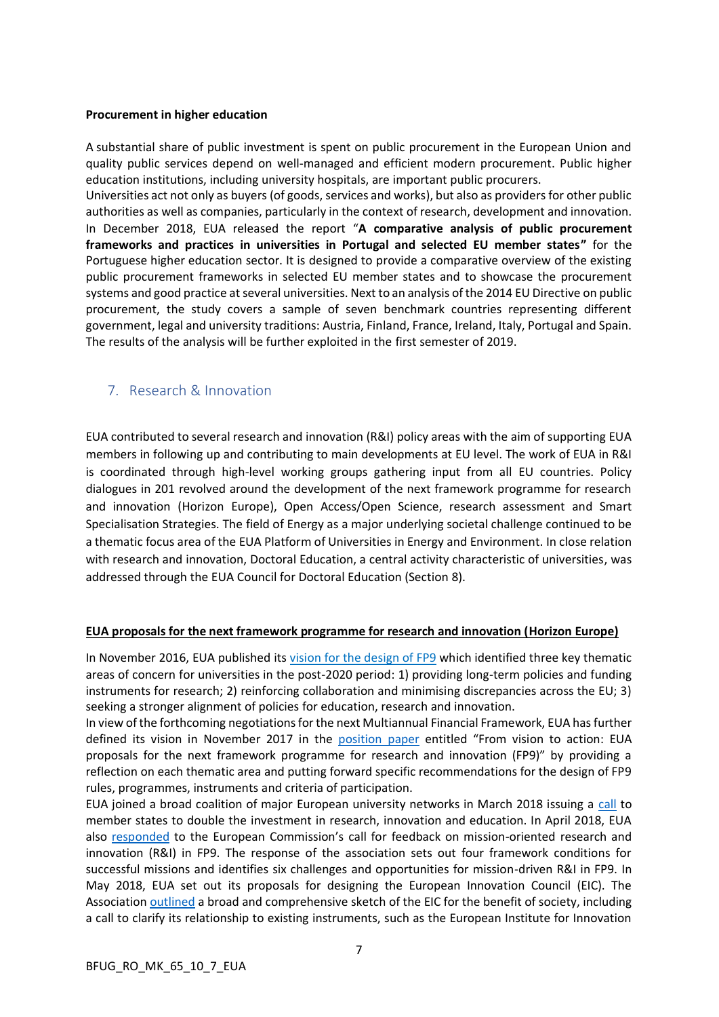#### **Procurement in higher education**

A substantial share of public investment is spent on public procurement in the European Union and quality public services depend on well-managed and efficient modern procurement. Public higher education institutions, including university hospitals, are important public procurers.

Universities act not only as buyers (of goods, services and works), but also as providers for other public authorities as well as companies, particularly in the context of research, development and innovation. In December 2018, EUA released the report "**A comparative analysis of public procurement frameworks and practices in universities in Portugal and selected EU member states"** for the Portuguese higher education sector. It is designed to provide a comparative overview of the existing public procurement frameworks in selected EU member states and to showcase the procurement systems and good practice at several universities. Next to an analysis of the 2014 EU Directive on public procurement, the study covers a sample of seven benchmark countries representing different government, legal and university traditions: Austria, Finland, France, Ireland, Italy, Portugal and Spain. The results of the analysis will be further exploited in the first semester of 2019.

## <span id="page-6-0"></span>7. Research & Innovation

EUA contributed to several research and innovation (R&I) policy areas with the aim of supporting EUA members in following up and contributing to main developments at EU level. The work of EUA in R&I is coordinated through high-level working groups gathering input from all EU countries. Policy dialogues in 201 revolved around the development of the next framework programme for research and innovation (Horizon Europe), Open Access/Open Science, research assessment and Smart Specialisation Strategies. The field of Energy as a major underlying societal challenge continued to be a thematic focus area of the EUA Platform of Universities in Energy and Environment. In close relation with research and innovation, Doctoral Education, a central activity characteristic of universities, was addressed through the EUA Council for Doctoral Education (Section 8).

#### **EUA proposals for the next framework programme for research and innovation (Horizon Europe)**

In November 2016, EUA published its [vision for the design of FP9](https://eua.eu/resources/publications/347:eua-vision-for-the-next-eu-framework-programme-for-research-and-innovation-fp9.html) which identified three key thematic areas of concern for universities in the post-2020 period: 1) providing long-term policies and funding instruments for research; 2) reinforcing collaboration and minimising discrepancies across the EU; 3) seeking a stronger alignment of policies for education, research and innovation.

In view of the forthcoming negotiations for the next Multiannual Financial Framework, EUA has further defined its vision in November 2017 in the [position paper](http://www.eua.be/Libraries/publications-homepage-list/eua-next-framework-programme-for-research-and-innovation-(fp9)) entitled "From vision to action: EUA proposals for the next framework programme for research and innovation (FP9)" by providing a reflection on each thematic area and putting forward specific recommendations for the design of FP9 rules, programmes, instruments and criteria of participation.

EUA joined a broad coalition of major European university networks in March 2018 issuing a [call](http://www.eua.be/Libraries/policy-positions/double-investment-in-research-innovation-and-education.pdf) to member states to double the investment in research, innovation and education. In April 2018, EUA also [responded](http://www.eua.be/Libraries/publications-homepage-list/design-of-missions-in-next-framework-programme) to the European Commission's call for feedback on mission-oriented research and innovation (R&I) in FP9. The response of the association sets out four framework conditions for successful missions and identifies six challenges and opportunities for mission-driven R&I in FP9. In May 2018, EUA set out its proposals for designing the European Innovation Council (EIC). The Association [outlined](https://eua.eu/resources/publications/327:designing-the-european-innovation-council-for-the-benefit-of-society-recommendations-from-european-universities.html) a broad and comprehensive sketch of the EIC for the benefit of society, including a call to clarify its relationship to existing instruments, such as the European Institute for Innovation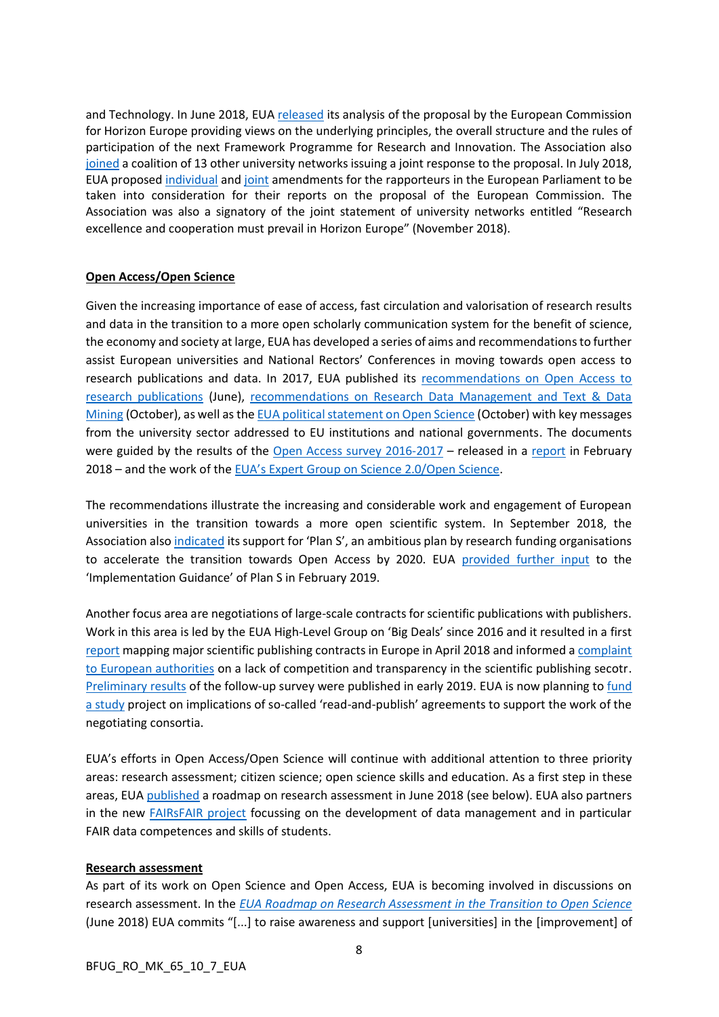and Technology. In June 2018, EUA [released](https://eua.eu/resources/publications/313:horizon-europe-eua-analysis-of-the-european-commission-proposal.html) its analysis of the proposal by the European Commission for Horizon Europe providing views on the underlying principles, the overall structure and the rules of participation of the next Framework Programme for Research and Innovation. The Association also [joined](https://eua.eu/resources/publications/314:universities-united-for-the-best-horizon-europe.html) a coalition of 13 other university networks issuing a joint response to the proposal. In July 2018, EUA proposed [individual](https://eua.eu/component/attachments/attachments.html?task=attachment&id=861) and [joint](https://eua.eu/component/attachments/attachments.html?task=attachment&id=860) amendments for the rapporteurs in the European Parliament to be taken into consideration for their reports on the proposal of the European Commission. The Association was also a signatory of the joint statement of university networks entitled "Research excellence and cooperation must prevail in Horizon Europe" (November 2018).

### **Open Access/Open Science**

Given the increasing importance of ease of access, fast circulation and valorisation of research results and data in the transition to a more open scholarly communication system for the benefit of science, the economy and society at large, EUA has developed a series of aims and recommendations to further assist European universities and National Rectors' Conferences in moving towards open access to research publications and data. In 2017, EUA published its [recommendations on Open Access to](https://www.eua.eu/resources/publications/412:eua-statement-on-open-science-to-eu-institutions-and-national-governments.html)  [research publications](https://www.eua.eu/resources/publications/412:eua-statement-on-open-science-to-eu-institutions-and-national-governments.html) (June), [recommendations on Research Data Management and Text & Data](https://www.eua.eu/resources/publications/414:towards-open-access-to-research-data.html)  [Mining](https://www.eua.eu/resources/publications/414:towards-open-access-to-research-data.html) (October), as well as the [EUA political statement on Open Science](http://eua.be/Libraries/publications-homepage-list/eua-statement-on-open-science-to-eu-institutions-and-national-governments-2017) (October) with key messages from the university sector addressed to EU institutions and national governments. The documents were guided by the results of the [Open Access survey](https://www.eua.eu/resources/publications/324:open-access-in-european-universities-results-from-the-2016-2017-eua-institutional-survey.html) 2016-2017 – released in a [report](http://eua.be/Libraries/publications-homepage-list/open-access-2016-2017-eua-survey-results.pdf?sfvrsn=2http://eua.be/Libraries/publications-homepage-list/open-access-2016-2017-eua-survey-results.pdf) in February 2018 – and the work of the [EUA's Expert Group on Science 2.0/Open Science](http://www.eua.be/policy-representation/research-innovation-policy/science-2-0-open-science).

The recommendations illustrate the increasing and considerable work and engagement of European universities in the transition towards a more open scientific system. In September 2018, the Association als[o indicated](https://eua.eu/resources/publications/746:open-access-by-2020-eua-supports-plan-s-for-an-open-scholarly-system.html) its support for 'Plan S', an ambitious plan by research funding organisations to accelerate the transition towards Open Access by 2020. EUA [provided further input](https://eua.eu/resources/publications/815:turning-principles-into-practice-eua%E2%80%99s-response-to-the-plan-s-implementation-guidance.html) to the 'Implementation Guidance' of Plan S in February 2019.

Another focus area are negotiations of large-scale contracts for scientific publications with publishers. Work in this area is led by the EUA High-Level Group on 'Big Deals' since 2016 and it resulted in a first [report](https://www.eua.eu/resources/publications/321:eua-big-deals-survey-report-the-first-mapping-of-major-scientific-publishing-contracts-in-europe.html) mapping major scientific publishing contracts in Europe in April 2018 and informed a complaint [to European authorities](https://www.eua.eu/news/188:scholarly-publishing-eua-asks-european-commission-to-investigate-lack-of-competition.html) on a lack of competition and transparency in the scientific publishing secotr. [Preliminary results](https://www.slideshare.net/EurUniversityAssociation/second-big-deals-survey-preview-of-the-results-130867813) of the follow-up survey were published in early 2019. EUA is now planning t[o fund](https://www.eua.eu/118-uncategorised/744-call-for-tenders-study-on-scholarly-read-publish-agreements.html)  [a study](https://www.eua.eu/118-uncategorised/744-call-for-tenders-study-on-scholarly-read-publish-agreements.html) project on implications of so-called 'read-and-publish' agreements to support the work of the negotiating consortia.

EUA's efforts in Open Access/Open Science will continue with additional attention to three priority areas: research assessment; citizen science; open science skills and education. As a first step in these areas, EU[A published](https://eua.eu/resources/publications/316:eua-roadmap-on-research-assessment-in-the-transition-to-open-science.html) a roadmap on research assessment in June 2018 (see below). EUA also partners in the new [FAIRsFAIR project](https://www.eua.eu/news/259:eua-partners-in-european-action-to-make-research-data-fair.html) focussing on the development of data management and in particular FAIR data competences and skills of students.

## **Research assessment**

As part of its work on Open Science and Open Access, EUA is becoming involved in discussions on research assessment. In the *[EUA Roadmap on Research Assessment in the Transition to Open Science](https://eua.eu/resources/publications/316:eua-roadmap-on-research-assessment-in-the-transition-to-open-science.html)* (June 2018) EUA commits "[...] to raise awareness and support [universities] in the [improvement] of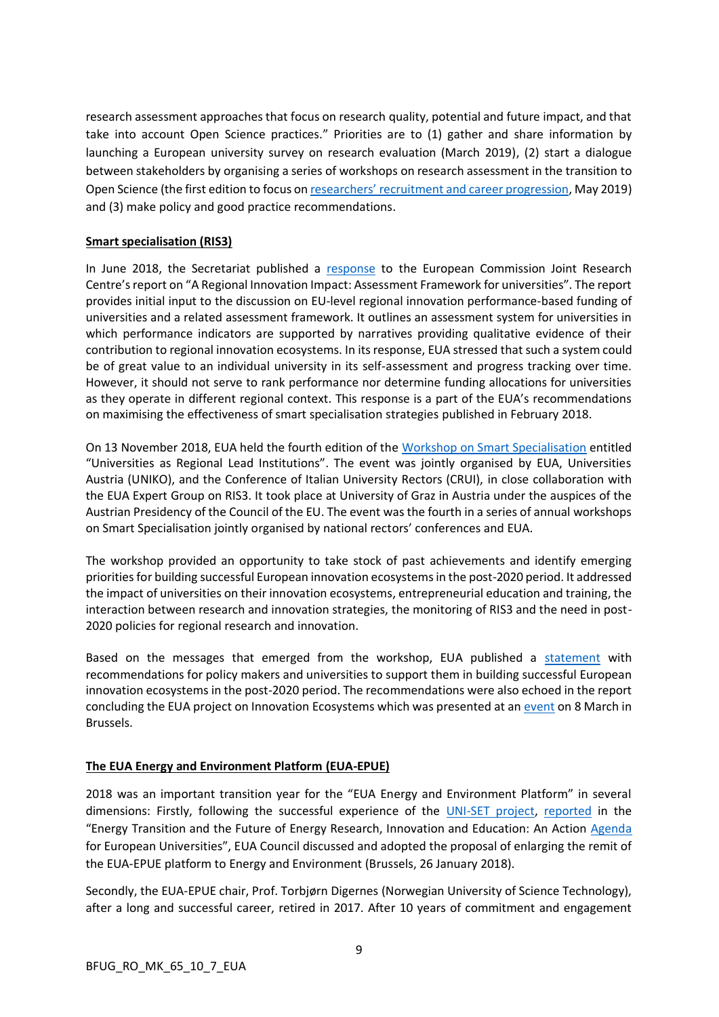research assessment approaches that focus on research quality, potential and future impact, and that take into account Open Science practices." Priorities are to (1) gather and share information by launching a European university survey on research evaluation (March 2019), (2) start a dialogue between stakeholders by organising a series of workshops on research assessment in the transition to Open Science (the first edition to focus on [researchers' recruitment and career progression](https://eua.eu/events/87-2019-eua-workshop-on-research-assessment-in-the-transition-to-open-science.html), May 2019) and (3) make policy and good practice recommendations.

## **Smart specialisation (RIS3)**

In June 2018, the Secretariat published a [response](https://eua.eu/resources/publications/318:eua-response-to-joint-research-centre-report-on-regional-innovation-impact-assessment-for-universities.html) to the European Commission Joint Research Centre's report on "A Regional Innovation Impact: Assessment Framework for universities". The report provides initial input to the discussion on EU-level regional innovation performance-based funding of universities and a related assessment framework. It outlines an assessment system for universities in which performance indicators are supported by narratives providing qualitative evidence of their contribution to regional innovation ecosystems. In its response, EUA stressed that such a system could be of great value to an individual university in its self-assessment and progress tracking over time. However, it should not serve to rank performance nor determine funding allocations for universities as they operate in different regional context. This response is a part of the EUA's recommendations on maximising the effectiveness of smart specialisation strategies published in February 2018.

On 13 November 2018, EUA held the fourth edition of th[e Workshop on Smart Specialisation](https://eua.eu/events/5-eua-annual-workshop-on-ris3.html) entitled "Universities as Regional Lead Institutions". The event was jointly organised by EUA, Universities Austria (UNIKO), and the Conference of Italian University Rectors (CRUI), in close collaboration with the EUA Expert Group on RIS3. It took place at University of Graz in Austria under the auspices of the Austrian Presidency of the Council of the EU. The event was the fourth in a series of annual workshops on Smart Specialisation jointly organised by national rectors' conferences and EUA.

The workshop provided an opportunity to take stock of past achievements and identify emerging priorities for building successful European innovation ecosystems in the post-2020 period. It addressed the impact of universities on their innovation ecosystems, entrepreneurial education and training, the interaction between research and innovation strategies, the monitoring of RIS3 and the need in post-2020 policies for regional research and innovation.

Based on the messages that emerged from the workshop, EUA published a [statement](https://eua.eu/downloads/publications/the%20future%20of%20innovation%20ecosystems.pdf) with recommendations for policy makers and universities to support them in building successful European innovation ecosystems in the post-2020 period. The recommendations were also echoed in the report concluding the EUA project on Innovation Ecosystems which was presented at an [event](https://eua.eu/events/86-the-role-of-universities-in-innovation-ecosystems.html) on 8 March in Brussels.

## **The EUA Energy and Environment Platform (EUA-EPUE)**

2018 was an important transition year for the "EUA Energy and Environment Platform" in several dimensions: Firstly, following the successful experience of the [UNI-SET project,](http://uni-set.eu/) [reported](https://energy.eua.eu/downloads/publications/energy-transition.pdf) in the "Energy Transition and the Future of Energy Research, Innovation and Education: An Action [Agenda](https://energy.eua.eu/component/attachments/attachments.html?id=299) for European Universities", EUA Council discussed and adopted the proposal of enlarging the remit of the EUA-EPUE platform to Energy and Environment (Brussels, 26 January 2018).

Secondly, the EUA-EPUE chair, Prof. Torbjørn Digernes (Norwegian University of Science Technology), after a long and successful career, retired in 2017. After 10 years of commitment and engagement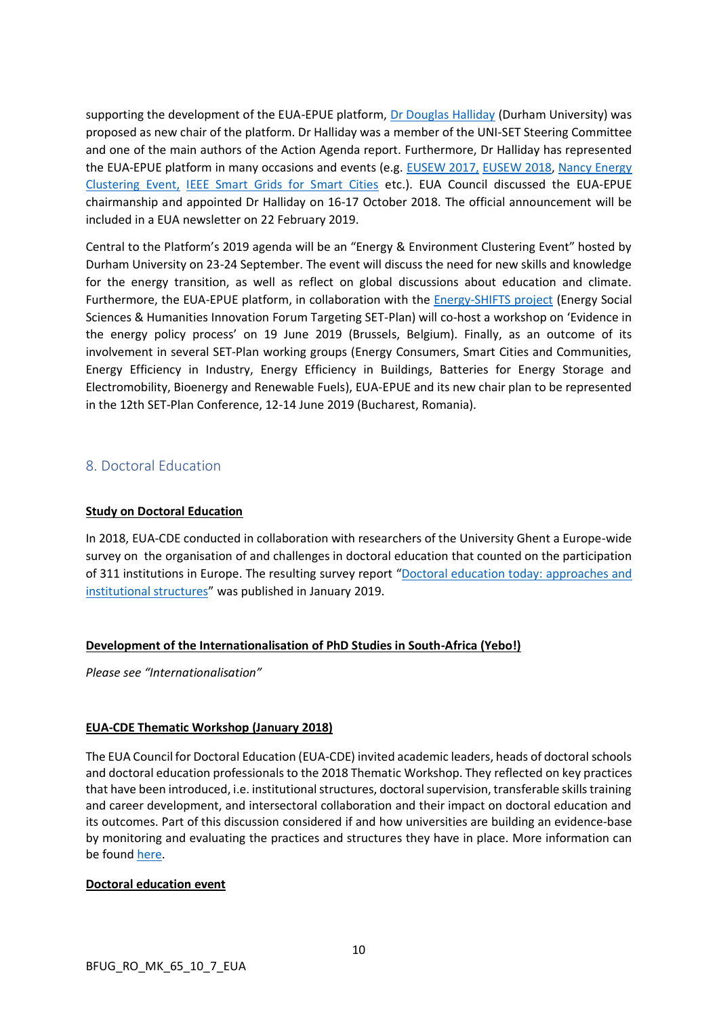supporting the development of the EUA-EPUE platform, [Dr Douglas Halliday](https://www.dur.ac.uk/physics/staff/profiles/?id=538) (Durham University) was proposed as new chair of the platform. Dr Halliday was a member of the UNI-SET Steering Committee and one of the main authors of the Action Agenda report. Furthermore, Dr Halliday has represented the EUA-EPUE platform in many occasions and events (e.g. [EUSEW 2017,](https://ec.europa.eu/energy/en/news/looking-back-successful-eusew-2017) [EUSEW 2018,](https://ec.europa.eu/info/events/eu-sustainable-energy-week-eusew-2018-2018-jun-04_en) [Nancy Energy](https://eua.eu/events/47-energy-clustering-event.html)  [Clustering Event,](https://eua.eu/events/47-energy-clustering-event.html) [IEEE Smart Grids for Smart Cities](http://ieeesg4sc.org/program/) etc.). EUA Council discussed the EUA-EPUE chairmanship and appointed Dr Halliday on 16-17 October 2018. The official announcement will be included in a EUA newsletter on 22 February 2019.

Central to the Platform's 2019 agenda will be an "Energy & Environment Clustering Event" hosted by Durham University on 23-24 September. The event will discuss the need for new skills and knowledge for the energy transition, as well as reflect on global discussions about education and climate. Furthermore, the EUA-EPUE platform, in collaboration with the [Energy-SHIFTS project](https://cordis.europa.eu/project/rcn/219007/factsheet/en) (Energy Social Sciences & Humanities Innovation Forum Targeting SET-Plan) will co-host a workshop on 'Evidence in the energy policy process' on 19 June 2019 (Brussels, Belgium). Finally, as an outcome of its involvement in several SET-Plan working groups (Energy Consumers, Smart Cities and Communities, Energy Efficiency in Industry, Energy Efficiency in Buildings, Batteries for Energy Storage and Electromobility, Bioenergy and Renewable Fuels), EUA-EPUE and its new chair plan to be represented in the 12th SET-Plan Conference, 12-14 June 2019 (Bucharest, Romania).

## <span id="page-9-0"></span>8. Doctoral Education

## **Study on Doctoral Education**

In 2018, EUA-CDE conducted in collaboration with researchers of the University Ghent a Europe-wide survey on the organisation of and challenges in doctoral education that counted on the participation of 311 institutions in Europe. The resulting survey report "Doctoral education today: approaches and [institutional structures](https://eua.eu/resources/publications/809:doctoral-education-in-europe-today-approaches-and-institutional-structures.html)" was published in January 2019.

## **Development of the Internationalisation of PhD Studies in South-Africa (Yebo!)**

*Please see "Internationalisation"*

## **EUA-CDE Thematic Workshop (January 2018)**

The EUA Council for Doctoral Education (EUA-CDE) invited academic leaders, heads of doctoral schools and doctoral education professionals to the 2018 Thematic Workshop. They reflected on key practices that have been introduced, i.e. institutional structures, doctoral supervision, transferable skills training and career development, and intersectoral collaboration and their impact on doctoral education and its outcomes. Part of this discussion considered if and how universities are building an evidence-base by monitoring and evaluating the practices and structures they have in place. More information can be foun[d here.](https://eua.eu/events/48:11th-eua-cde-thematic-workshop.html)

#### **Doctoral education event**